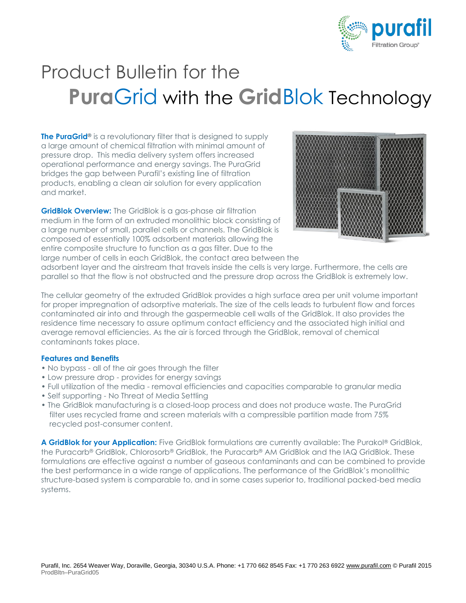

## Product Bulletin for the **Pura**Grid with the **Grid**Blok Technology

**The PuraGrid®** is a revolutionary filter that is designed to supply a large amount of chemical filtration with minimal amount of pressure drop. This media delivery system offers increased operational performance and energy savings. The PuraGrid bridges the gap between Purafil's existing line of filtration products, enabling a clean air solution for every application and market.

**GridBlok Overview:** The GridBlok is a gas-phase air filtration medium in the form of an extruded monolithic block consisting of a large number of small, parallel cells or channels. The GridBlok is composed of essentially 100% adsorbent materials allowing the entire composite structure to function as a gas filter. Due to the large number of cells in each GridBlok, the contact area between the



adsorbent layer and the airstream that travels inside the cells is very large. Furthermore, the cells are parallel so that the flow is not obstructed and the pressure drop across the GridBlok is extremely low.

The cellular geometry of the extruded GridBlok provides a high surface area per unit volume important for proper impregnation of adsorptive materials. The size of the cells leads to turbulent flow and forces contaminated air into and through the gaspermeable cell walls of the GridBlok. It also provides the residence time necessary to assure optimum contact efficiency and the associated high initial and average removal efficiencies. As the air is forced through the GridBlok, removal of chemical contaminants takes place.

## **Features and Benefits**

- No bypass all of the air goes through the filter
- Low pressure drop provides for energy savings
- Full utilization of the media removal efficiencies and capacities comparable to granular media
- Self supporting No Threat of Media Settling
- The GridBlok manufacturing is a closed-loop process and does not produce waste. The PuraGrid filter uses recycled frame and screen materials with a compressible partition made from 75% recycled post-consumer content.

**A GridBlok for your Application:** Five GridBlok formulations are currently available: The Purakol® GridBlok, the Puracarb® GridBlok, Chlorosorb® GridBlok, the Puracarb® AM GridBlok and the IAQ GridBlok. These formulations are effective against a number of gaseous contaminants and can be combined to provide the best performance in a wide range of applications. The performance of the GridBlok's monolithic structure-based system is comparable to, and in some cases superior to, traditional packed-bed media systems.